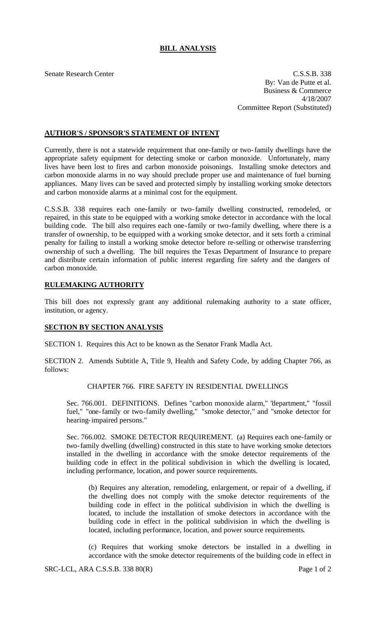# **BILL ANALYSIS**

Senate Research Center C.S.S.B. 338 By: Van de Putte et al. Business & Commerce 4/18/2007 Committee Report (Substituted)

## **AUTHOR'S / SPONSOR'S STATEMENT OF INTENT**

Currently, there is not a statewide requirement that one-family or two-family dwellings have the appropriate safety equipment for detecting smoke or carbon monoxide. Unfortunately, many lives have been lost to fires and carbon monoxide poisonings. Installing smoke detectors and carbon monoxide alarms in no way should preclude proper use and maintenance of fuel burning appliances. Many lives can be saved and protected simply by installing working smoke detectors and carbon monoxide alarms at a minimal cost for the equipment.

C.S.S.B. 338 requires each one-family or two-family dwelling constructed, remodeled, or repaired, in this state to be equipped with a working smoke detector in accordance with the local building code. The bill also requires each one-family or two-family dwelling, where there is a transfer of ownership, to be equipped with a working smoke detector, and it sets forth a criminal penalty for failing to install a working smoke detector before re-selling or otherwise transferring ownership of such a dwelling. The bill requires the Texas Department of Insurance to prepare and distribute certain information of public interest regarding fire safety and the dangers of carbon monoxide.

### **RULEMAKING AUTHORITY**

This bill does not expressly grant any additional rulemaking authority to a state officer, institution, or agency.

### **SECTION BY SECTION ANALYSIS**

SECTION 1. Requires this Act to be known as the Senator Frank Madla Act.

SECTION 2. Amends Subtitle A, Title 9, Health and Safety Code, by adding Chapter 766, as follows:

#### CHAPTER 766. FIRE SAFETY IN RESIDENTIAL DWELLINGS

Sec. 766.001. DEFINITIONS. Defines "carbon monoxide alarm," "department," "fossil fuel," "one-family or two-family dwelling," "smoke detector," and "smoke detector for hearing-impaired persons."

Sec. 766.002. SMOKE DETECTOR REQUIREMENT. (a) Requires each one-family or two-family dwelling (dwelling) constructed in this state to have working smoke detectors installed in the dwelling in accordance with the smoke detector requirements of the building code in effect in the political subdivision in which the dwelling is located, including performance, location, and power source requirements.

(b) Requires any alteration, remodeling, enlargement, or repair of a dwelling, if the dwelling does not comply with the smoke detector requirements of the building code in effect in the political subdivision in which the dwelling is located, to include the installation of smoke detectors in accordance with the building code in effect in the political subdivision in which the dwelling is located, including performance, location, and power source requirements.

(c) Requires that working smoke detectors be installed in a dwelling in accordance with the smoke detector requirements of the building code in effect in